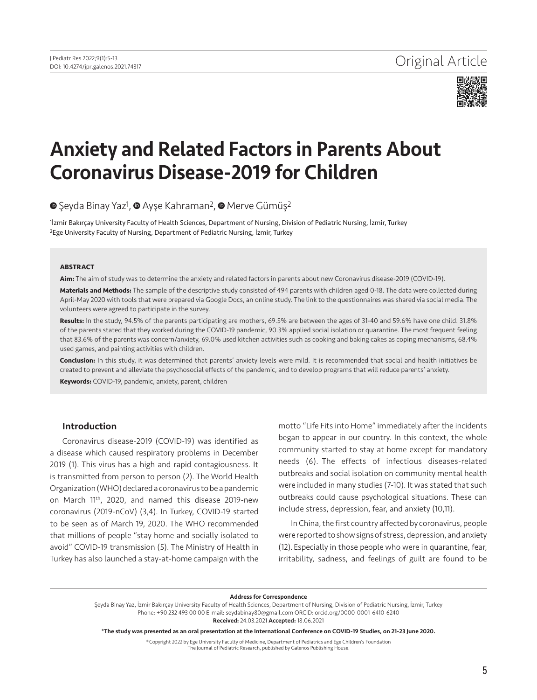

# Anxiety and Related Factors in Parents About Coronavirus Disease-2019 for Children

**■**Şeyda Binay Yaz<sup>1</sup>[,](https://orcid.org/0000-0001-8648-594X) ■ Ayşe Kahraman<sup>2</sup>, ■ Merve Gümüş<sup>2</sup>

<sup>1</sup> Izmir Bakırçay University Faculty of Health Sciences, Department of Nursing, Division of Pediatric Nursing, İzmir, Turkey 2Ege University Faculty of Nursing, Department of Pediatric Nursing, İzmir, Turkey

### **ABSTRACT**

**Aim:** The aim of study was to determine the anxiety and related factors in parents about new Coronavirus disease-2019 (COVID-19).

**Materials and Methods:** The sample of the descriptive study consisted of 494 parents with children aged 0-18. The data were collected during April-May 2020 with tools that were prepared via Google Docs, an online study. The link to the questionnaires was shared via social media. The volunteers were agreed to participate in the survey.

**Results:** In the study, 94.5% of the parents participating are mothers, 69.5% are between the ages of 31-40 and 59.6% have one child. 31.8% of the parents stated that they worked during the COVID-19 pandemic, 90.3% applied social isolation or quarantine. The most frequent feeling that 83.6% of the parents was concern/anxiety, 69.0% used kitchen activities such as cooking and baking cakes as coping mechanisms, 68.4% used games, and painting activities with children.

**Conclusion:** In this study, it was determined that parents' anxiety levels were mild. It is recommended that social and health initiatives be created to prevent and alleviate the psychosocial effects of the pandemic, and to develop programs that will reduce parents' anxiety.

**Keywords:** COVID-19, pandemic, anxiety, parent, children

# Introduction

Coronavirus disease-2019 (COVID-19) was identified as a disease which caused respiratory problems in December 2019 (1). This virus has a high and rapid contagiousness. It is transmitted from person to person (2). The World Health Organization (WHO) declared a coronavirus to be a pandemic on March 11th, 2020, and named this disease 2019-new coronavirus (2019-nCoV) (3,4). In Turkey, COVID-19 started to be seen as of March 19, 2020. The WHO recommended that millions of people "stay home and socially isolated to avoid" COVID-19 transmission (5). The Ministry of Health in Turkey has also launched a stay-at-home campaign with the

motto "Life Fits into Home" immediately after the incidents began to appear in our country. In this context, the whole community started to stay at home except for mandatory needs (6). The effects of infectious diseases-related outbreaks and social isolation on community mental health were included in many studies (7-10). It was stated that such outbreaks could cause psychological situations. These can include stress, depression, fear, and anxiety (10,11).

In China, the first country affected by coronavirus, people were reported to show signs of stress, depression, and anxiety (12). Especially in those people who were in quarantine, fear, irritability, sadness, and feelings of guilt are found to be

#### Address for Correspondence

Şeyda Binay Yaz, İzmir Bakırçay University Faculty of Health Sciences, Department of Nursing, Division of Pediatric Nursing, İzmir, Turkey Phone: +90 232 493 00 00 E-mail: seydabinay80@gmail.com ORCID: orcid.org/0000-0001-6410-6240 Received: 24.03.2021 Accepted: 18.06.2021

\*The study was presented as an oral presentation at the International Conference on COVID-19 Studies, on 21-23 June 2020.

©Copyright 2022 by Ege University Faculty of Medicine, Department of Pediatrics and Ege Children's Foundation The Journal of Pediatric Research, published by Galenos Publishing House.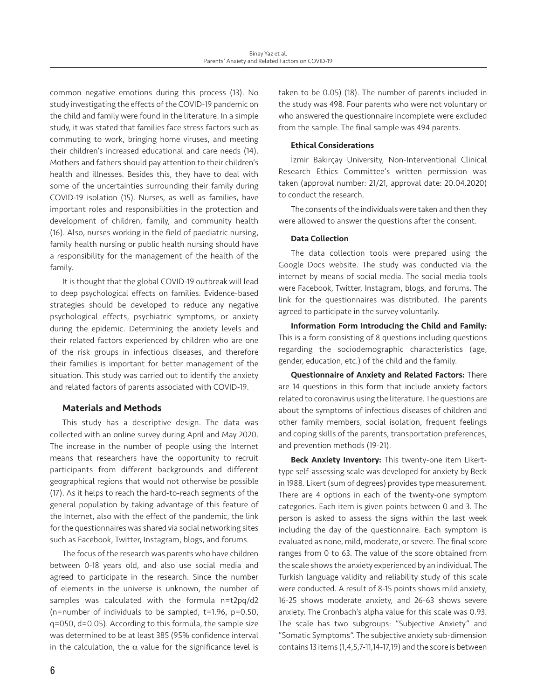common negative emotions during this process (13). No study investigating the effects of the COVID-19 pandemic on the child and family were found in the literature. In a simple study, it was stated that families face stress factors such as commuting to work, bringing home viruses, and meeting their children's increased educational and care needs (14). Mothers and fathers should pay attention to their children's health and illnesses. Besides this, they have to deal with some of the uncertainties surrounding their family during COVID-19 isolation (15). Nurses, as well as families, have important roles and responsibilities in the protection and development of children, family, and community health (16). Also, nurses working in the field of paediatric nursing, family health nursing or public health nursing should have a responsibility for the management of the health of the family.

It is thought that the global COVID-19 outbreak will lead to deep psychological effects on families. Evidence-based strategies should be developed to reduce any negative psychological effects, psychiatric symptoms, or anxiety during the epidemic. Determining the anxiety levels and their related factors experienced by children who are one of the risk groups in infectious diseases, and therefore their families is important for better management of the situation. This study was carried out to identify the anxiety and related factors of parents associated with COVID-19.

# Materials and Methods

This study has a descriptive design. The data was collected with an online survey during April and May 2020. The increase in the number of people using the Internet means that researchers have the opportunity to recruit participants from different backgrounds and different geographical regions that would not otherwise be possible (17). As it helps to reach the hard-to-reach segments of the general population by taking advantage of this feature of the Internet, also with the effect of the pandemic, the link for the questionnaires was shared via social networking sites such as Facebook, Twitter, Instagram, blogs, and forums.

The focus of the research was parents who have children between 0-18 years old, and also use social media and agreed to participate in the research. Since the number of elements in the universe is unknown, the number of samples was calculated with the formula n=t2pq/d2 (n=number of individuals to be sampled, t=1.96, p=0.50, q=050, d=0.05). According to this formula, the sample size was determined to be at least 385 (95% confidence interval in the calculation, the  $\alpha$  value for the significance level is

taken to be 0.05) (18). The number of parents included in the study was 498. Four parents who were not voluntary or who answered the questionnaire incomplete were excluded from the sample. The final sample was 494 parents.

## Ethical Considerations

İzmir Bakırçay University, Non-Interventional Clinical Research Ethics Committee's written permission was taken (approval number: 21/21, approval date: 20.04.2020) to conduct the research.

The consents of the individuals were taken and then they were allowed to answer the questions after the consent.

# Data Collection

The data collection tools were prepared using the Google Docs website. The study was conducted via the internet by means of social media. The social media tools were Facebook, Twitter, Instagram, blogs, and forums. The link for the questionnaires was distributed. The parents agreed to participate in the survey voluntarily.

Information Form Introducing the Child and Family: This is a form consisting of 8 questions including questions regarding the sociodemographic characteristics (age, gender, education, etc.) of the child and the family.

Questionnaire of Anxiety and Related Factors: There are 14 questions in this form that include anxiety factors related to coronavirus using the literature. The questions are about the symptoms of infectious diseases of children and other family members, social isolation, frequent feelings and coping skills of the parents, transportation preferences, and prevention methods (19-21).

Beck Anxiety Inventory: This twenty-one item Likerttype self-assessing scale was developed for anxiety by Beck in 1988. Likert (sum of degrees) provides type measurement. There are 4 options in each of the twenty-one symptom categories. Each item is given points between 0 and 3. The person is asked to assess the signs within the last week including the day of the questionnaire. Each symptom is evaluated as none, mild, moderate, or severe. The final score ranges from 0 to 63. The value of the score obtained from the scale shows the anxiety experienced by an individual. The Turkish language validity and reliability study of this scale were conducted. A result of 8-15 points shows mild anxiety, 16-25 shows moderate anxiety, and 26-63 shows severe anxiety. The Cronbach's alpha value for this scale was 0.93. The scale has two subgroups: "Subjective Anxiety" and "Somatic Symptoms". The subjective anxiety sub-dimension contains 13 items (1,4,5,7-11,14-17,19) and the score is between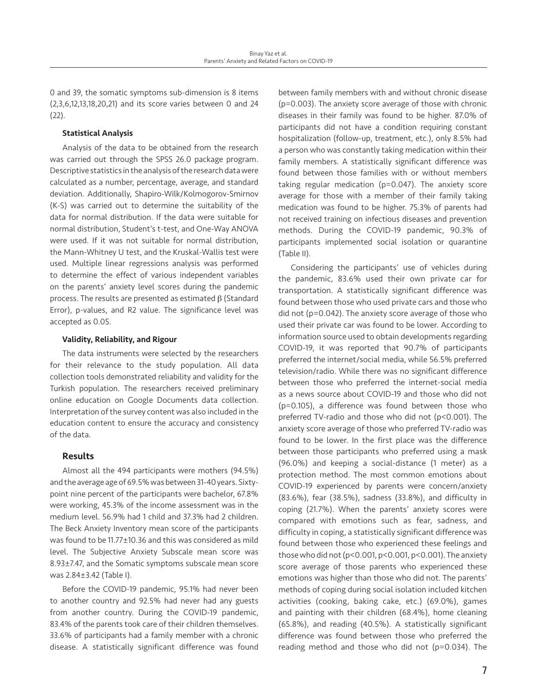0 and 39, the somatic symptoms sub-dimension is 8 items (2,3,6,12,13,18,20,21) and its score varies between 0 and 24 (22).

## Statistical Analysis

Analysis of the data to be obtained from the research was carried out through the SPSS 26.0 package program. Descriptive statistics in the analysis of the research data were calculated as a number, percentage, average, and standard deviation. Additionally, Shapiro-Wilk/Kolmogorov-Smirnov (K-S) was carried out to determine the suitability of the data for normal distribution. If the data were suitable for normal distribution, Student's t-test, and One-Way ANOVA were used. If it was not suitable for normal distribution, the Mann-Whitney U test, and the Kruskal-Wallis test were used. Multiple linear regressions analysis was performed to determine the effect of various independent variables on the parents' anxiety level scores during the pandemic process. The results are presented as estimated β (Standard Error), p-values, and R2 value. The significance level was accepted as 0.05.

### Validity, Reliability, and Rigour

The data instruments were selected by the researchers for their relevance to the study population. All data collection tools demonstrated reliability and validity for the Turkish population. The researchers received preliminary online education on Google Documents data collection. Interpretation of the survey content was also included in the education content to ensure the accuracy and consistency of the data.

# **Results**

Almost all the 494 participants were mothers (94.5%) and the average age of 69.5% was between 31-40 years. Sixtypoint nine percent of the participants were bachelor, 67.8% were working, 45.3% of the income assessment was in the medium level. 56.9% had 1 child and 37.3% had 2 children. The Beck Anxiety Inventory mean score of the participants was found to be 11.77±10.36 and this was considered as mild level. The Subjective Anxiety Subscale mean score was 8.93±7.47, and the Somatic symptoms subscale mean score was 2.84±3.42 (Table I).

Before the COVID-19 pandemic, 95.1% had never been to another country and 92.5% had never had any guests from another country. During the COVID-19 pandemic, 83.4% of the parents took care of their children themselves. 33.6% of participants had a family member with a chronic disease. A statistically significant difference was found

between family members with and without chronic disease (p=0.003). The anxiety score average of those with chronic diseases in their family was found to be higher. 87.0% of participants did not have a condition requiring constant hospitalization (follow-up, treatment, etc.), only 8.5% had a person who was constantly taking medication within their family members. A statistically significant difference was found between those families with or without members taking regular medication (p=0.047). The anxiety score average for those with a member of their family taking medication was found to be higher. 75.3% of parents had not received training on infectious diseases and prevention methods. During the COVID-19 pandemic, 90.3% of participants implemented social isolation or quarantine (Table II).

Considering the participants' use of vehicles during the pandemic, 83.6% used their own private car for transportation. A statistically significant difference was found between those who used private cars and those who did not (p=0.042). The anxiety score average of those who used their private car was found to be lower. According to information source used to obtain developments regarding COVID-19, it was reported that 90.7% of participants preferred the internet/social media, while 56.5% preferred television/radio. While there was no significant difference between those who preferred the internet-social media as a news source about COVID-19 and those who did not (p=0.105), a difference was found between those who preferred TV-radio and those who did not (p<0.001). The anxiety score average of those who preferred TV-radio was found to be lower. In the first place was the difference between those participants who preferred using a mask (96.0%) and keeping a social-distance (1 meter) as a protection method. The most common emotions about COVID-19 experienced by parents were concern/anxiety (83.6%), fear (38.5%), sadness (33.8%), and difficulty in coping (21.7%). When the parents' anxiety scores were compared with emotions such as fear, sadness, and difficulty in coping, a statistically significant difference was found between those who experienced these feelings and those who did not (p<0.001, p<0.001, p<0.001). The anxiety score average of those parents who experienced these emotions was higher than those who did not. The parents' methods of coping during social isolation included kitchen activities (cooking, baking cake, etc.) (69.0%), games and painting with their children (68.4%), home cleaning (65.8%), and reading (40.5%). A statistically significant difference was found between those who preferred the reading method and those who did not (p=0.034). The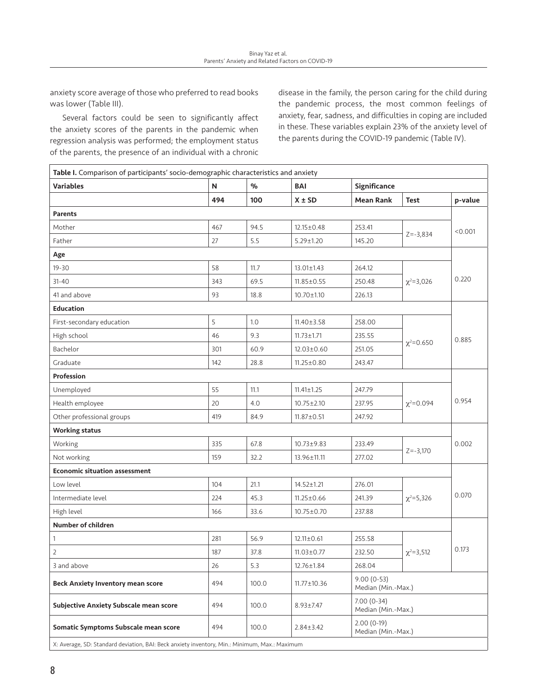anxiety score average of those who preferred to read books was lower (Table III).

Several factors could be seen to significantly affect the anxiety scores of the parents in the pandemic when regression analysis was performed; the employment status of the parents, the presence of an individual with a chronic disease in the family, the person caring for the child during the pandemic process, the most common feelings of anxiety, fear, sadness, and difficulties in coping are included in these. These variables explain 23% of the anxiety level of the parents during the COVID-19 pandemic (Table IV).

| <b>Table I.</b> Comparison of participants' socio-demographic characteristics and anxiety |     |       |                   |                                    |                    |         |  |  |  |  |
|-------------------------------------------------------------------------------------------|-----|-------|-------------------|------------------------------------|--------------------|---------|--|--|--|--|
| <b>Variables</b>                                                                          | N   | %     | BAI               | Significance                       |                    |         |  |  |  |  |
|                                                                                           | 494 | 100   | $X \pm SD$        | <b>Mean Rank</b>                   | <b>Test</b>        | p-value |  |  |  |  |
| <b>Parents</b>                                                                            |     |       |                   |                                    |                    |         |  |  |  |  |
| Mother                                                                                    | 467 | 94.5  | $12.15 \pm 0.48$  | 253.41                             |                    | < 0.001 |  |  |  |  |
| Father                                                                                    | 27  | 5.5   | $5.29 \pm 1.20$   | 145.20                             | $Z = -3,834$       |         |  |  |  |  |
| Age                                                                                       |     |       |                   |                                    |                    |         |  |  |  |  |
| $19 - 30$                                                                                 | 58  | 11.7  | $13.01 \pm 1.43$  | 264.12                             |                    |         |  |  |  |  |
| $31 - 40$                                                                                 | 343 | 69.5  | $11.85 \pm 0.55$  | 250.48                             | $\chi^2 = 3,026$   | 0.220   |  |  |  |  |
| 41 and above                                                                              | 93  | 18.8  | $10.70 \pm 1.10$  | 226.13                             |                    |         |  |  |  |  |
| <b>Education</b>                                                                          |     |       |                   |                                    |                    |         |  |  |  |  |
| First-secondary education                                                                 | 5   | 1.0   | $11.40 \pm 3.58$  | 258.00                             |                    |         |  |  |  |  |
| High school                                                                               | 46  | 9.3   | $11.73 \pm 1.71$  | 235.55                             |                    | 0.885   |  |  |  |  |
| Bachelor                                                                                  | 301 | 60.9  | $12.03 \pm 0.60$  | 251.05                             | $\chi^2$ =0.650    |         |  |  |  |  |
| Graduate                                                                                  | 142 | 28.8  | $11.25 \pm 0.80$  | 243.47                             |                    |         |  |  |  |  |
| Profession                                                                                |     |       |                   |                                    |                    |         |  |  |  |  |
| Unemployed                                                                                | 55  | 11.1  | $11.41 \pm 1.25$  | 247.79                             |                    | 0.954   |  |  |  |  |
| Health employee                                                                           | 20  | 4.0   | $10.75 \pm 2.10$  | 237.95                             | $\chi^2 = 0.094$   |         |  |  |  |  |
| Other professional groups                                                                 | 419 | 84.9  | $11.87 \pm 0.51$  | 247.92                             |                    |         |  |  |  |  |
| <b>Working status</b>                                                                     |     |       |                   |                                    |                    |         |  |  |  |  |
| Working                                                                                   | 335 | 67.8  | $10.73 \pm 9.83$  | 233.49                             |                    | 0.002   |  |  |  |  |
| Not working                                                                               | 159 | 32.2  | 13.96±11.11       | 277.02                             | $Z = -3,170$       |         |  |  |  |  |
| <b>Economic situation assessment</b>                                                      |     |       |                   |                                    |                    |         |  |  |  |  |
| Low level                                                                                 | 104 | 21.1  | $14.52 \pm 1.21$  | 276.01                             |                    |         |  |  |  |  |
| Intermediate level                                                                        | 224 | 45.3  | $11.25 \pm 0.66$  | 241.39                             | $\chi^2 = 5,326$   | 0.070   |  |  |  |  |
| High level                                                                                | 166 | 33.6  | $10.75 \pm 0.70$  | 237.88                             |                    |         |  |  |  |  |
| Number of children                                                                        |     |       |                   |                                    |                    |         |  |  |  |  |
| $\mathbf{1}$                                                                              | 281 | 56.9  | $12.11 \pm 0.61$  | 255.58                             |                    | 0.173   |  |  |  |  |
| $\overline{2}$                                                                            | 187 | 37.8  | $11.03 \pm 0.77$  | 232.50                             | $\chi^2 = 3,512$   |         |  |  |  |  |
| 3 and above                                                                               | 26  | 5.3   | 12.76±1.84        | 268.04                             |                    |         |  |  |  |  |
| <b>Beck Anxiety Inventory mean score</b>                                                  | 494 | 100.0 | $11.77 \pm 10.36$ | $9.00(0-53)$<br>Median (Min.-Max.) |                    |         |  |  |  |  |
| <b>Subjective Anxiety Subscale mean score</b>                                             | 494 | 100.0 | $8.93 \pm 7.47$   | $7.00(0-34)$                       | Median (Min.-Max.) |         |  |  |  |  |
| Somatic Symptoms Subscale mean score                                                      | 494 | 100.0 | $2.84 \pm 3.42$   | $2.00(0-19)$                       | Median (Min.-Max.) |         |  |  |  |  |

X: Average, SD: Standard deviation, BAI: Beck anxiety inventory, Min.: Minimum, Max.: Maximum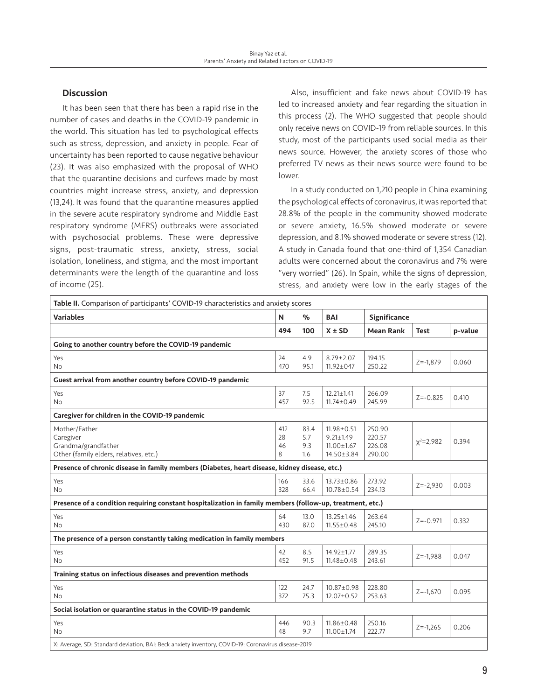# **Discussion**

It has been seen that there has been a rapid rise in the number of cases and deaths in the COVID-19 pandemic in the world. This situation has led to psychological effects such as stress, depression, and anxiety in people. Fear of uncertainty has been reported to cause negative behaviour (23). It was also emphasized with the proposal of WHO that the quarantine decisions and curfews made by most countries might increase stress, anxiety, and depression (13,24). It was found that the quarantine measures applied in the severe acute respiratory syndrome and Middle East respiratory syndrome (MERS) outbreaks were associated with psychosocial problems. These were depressive signs, post-traumatic stress, anxiety, stress, social isolation, loneliness, and stigma, and the most important determinants were the length of the quarantine and loss of income (25).

Also, insufficient and fake news about COVID-19 has led to increased anxiety and fear regarding the situation in this process (2). The WHO suggested that people should only receive news on COVID-19 from reliable sources. In this study, most of the participants used social media as their news source. However, the anxiety scores of those who preferred TV news as their news source were found to be lower.

In a study conducted on 1,210 people in China examining the psychological effects of coronavirus, it was reported that 28.8% of the people in the community showed moderate or severe anxiety, 16.5% showed moderate or severe depression, and 8.1% showed moderate or severe stress (12). A study in Canada found that one-third of 1,354 Canadian adults were concerned about the coronavirus and 7% were "very worried" (26). In Spain, while the signs of depression, stress, and anxiety were low in the early stages of the

| Table II. Comparison of participants' COVID-19 characteristics and anxiety scores                         |                      |                           |                                                                       |                                      |                  |         |  |
|-----------------------------------------------------------------------------------------------------------|----------------------|---------------------------|-----------------------------------------------------------------------|--------------------------------------|------------------|---------|--|
| <b>Variables</b>                                                                                          | N                    | $\%$                      | <b>BAI</b>                                                            | <b>Significance</b>                  |                  |         |  |
|                                                                                                           | 494                  | 100                       | $X \pm SD$                                                            | <b>Mean Rank</b>                     | <b>Test</b>      | p-value |  |
| Going to another country before the COVID-19 pandemic                                                     |                      |                           |                                                                       |                                      |                  |         |  |
| Yes<br>No.                                                                                                | 24<br>470            | 4.9<br>95.1               | $8.79 \pm 2.07$<br>$11.92 \pm 047$                                    | 194.15<br>250.22                     | $Z = -1,879$     | 0.060   |  |
| Guest arrival from another country before COVID-19 pandemic                                               |                      |                           |                                                                       |                                      |                  |         |  |
| Yes<br><b>No</b>                                                                                          | 37<br>457            | 7.5<br>92.5               | $12.21 \pm 1.41$<br>$11.74 \pm 0.49$                                  | 266.09<br>245.99                     | $Z = -0.825$     | 0.410   |  |
| Caregiver for children in the COVID-19 pandemic                                                           |                      |                           |                                                                       |                                      |                  |         |  |
| Mother/Father<br>Caregiver<br>Grandma/grandfather<br>Other (family elders, relatives, etc.)               | 412<br>28<br>46<br>8 | 83.4<br>5.7<br>9.3<br>1.6 | $11.98 \pm 0.51$<br>$9.21 \pm 1.49$<br>$11.00 \pm 1.67$<br>14.50±3.84 | 250.90<br>220.57<br>226.08<br>290.00 | $\chi^2 = 2.982$ | 0.394   |  |
| Presence of chronic disease in family members (Diabetes, heart disease, kidney disease, etc.)             |                      |                           |                                                                       |                                      |                  |         |  |
| Yes<br>No.                                                                                                | 166<br>328           | 33.6<br>66.4              | 13.73±0.86<br>10.78±0.54                                              | 273.92<br>234.13                     | $Z = -2,930$     | 0.003   |  |
| Presence of a condition requiring constant hospitalization in family members (follow-up, treatment, etc.) |                      |                           |                                                                       |                                      |                  |         |  |
| Yes<br><b>No</b>                                                                                          | 64<br>430            | 13.0<br>87.0              | $13.25 \pm 1.46$<br>$11.55 \pm 0.48$                                  | 263.64<br>245.10                     | $Z = -0.971$     | 0.332   |  |
| The presence of a person constantly taking medication in family members                                   |                      |                           |                                                                       |                                      |                  |         |  |
| Yes<br><b>No</b>                                                                                          | 42<br>452            | 8.5<br>91.5               | 14.92±1.77<br>$11.48 \pm 0.48$                                        | 289.35<br>243.61                     | $Z = -1,988$     | 0.047   |  |
| Training status on infectious diseases and prevention methods                                             |                      |                           |                                                                       |                                      |                  |         |  |
| Yes<br>No.                                                                                                | 122<br>372           | 24.7<br>75.3              | 10.87±0.98<br>$12.07 \pm 0.52$                                        | 228.80<br>253.63                     | $Z = -1.670$     | 0.095   |  |
| Social isolation or quarantine status in the COVID-19 pandemic                                            |                      |                           |                                                                       |                                      |                  |         |  |
| Yes<br>No.                                                                                                | 446<br>48            | 90.3<br>9.7               | $11.86 \pm 0.48$<br>11.00±1.74                                        | 250.16<br>222.77                     | $Z = -1,265$     | 0.206   |  |
| X: Average, SD: Standard deviation, BAI: Beck anxiety inventory, COVID-19: Coronavirus disease-2019       |                      |                           |                                                                       |                                      |                  |         |  |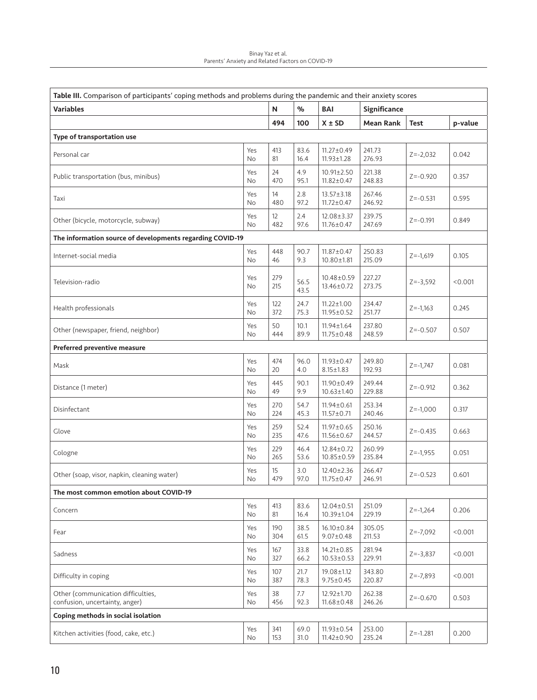| Binay Yaz et al.                                 |
|--------------------------------------------------|
| Parents' Anxiety and Related Factors on COVID-19 |

| Table III. Comparison of participants' coping methods and problems during the pandemic and their anxiety scores |                  |                          |              |                                      |                  |              |         |
|-----------------------------------------------------------------------------------------------------------------|------------------|--------------------------|--------------|--------------------------------------|------------------|--------------|---------|
| <b>Variables</b>                                                                                                |                  | N                        | $\%$         | BAI                                  | Significance     |              |         |
|                                                                                                                 |                  | 494                      | 100          | $X \pm SD$                           | Mean Rank        | <b>Test</b>  | p-value |
| Type of transportation use                                                                                      |                  |                          |              |                                      |                  |              |         |
| Personal car                                                                                                    | Yes<br><b>No</b> | 413<br>81                | 83.6<br>16.4 | $11.27 \pm 0.49$<br>$11.93 \pm 1.28$ | 241.73<br>276.93 | $Z = -2,032$ | 0.042   |
| Public transportation (bus, minibus)                                                                            | Yes<br>No        | 24<br>470                | 4.9<br>95.1  | $10.91 \pm 2.50$<br>$11.82 \pm 0.47$ | 221.38<br>248.83 | $Z = -0.920$ | 0.357   |
| Taxi                                                                                                            | Yes<br>No        | 14<br>480                | 2.8<br>97.2  | $13.57 \pm 3.18$<br>$11.72 \pm 0.47$ | 267.46<br>246.92 | $Z = -0.531$ | 0.595   |
| Other (bicycle, motorcycle, subway)                                                                             | Yes<br><b>No</b> | $12 \overline{ }$<br>482 | 2.4<br>97.6  | 12.08±3.37<br>$11.76 \pm 0.47$       | 239.75<br>247.69 | $Z = -0.191$ | 0.849   |
| The information source of developments regarding COVID-19                                                       |                  |                          |              |                                      |                  |              |         |
| Internet-social media                                                                                           | Yes<br>No        | 448<br>46                | 90.7<br>9.3  | $11.87 \pm 0.47$<br>$10.80 \pm 1.81$ | 250.83<br>215.09 | $Z = -1,619$ | 0.105   |
| Television-radio                                                                                                | Yes<br>No        | 279<br>215               | 56.5<br>43.5 | $10.48 \pm 0.59$<br>13.46±0.72       | 227.27<br>273.75 | $Z = -3,592$ | < 0.001 |
| Health professionals                                                                                            | Yes<br>No.       | 122<br>372               | 24.7<br>75.3 | $11.22 \pm 1.00$<br>$11.95 \pm 0.52$ | 234.47<br>251.77 | $Z = -1,163$ | 0.245   |
| Other (newspaper, friend, neighbor)                                                                             | Yes<br>No        | 50<br>444                | 10.1<br>89.9 | 11.94±1.64<br>$11.75 \pm 0.48$       | 237.80<br>248.59 | $Z = -0.507$ | 0.507   |
| Preferred preventive measure                                                                                    |                  |                          |              |                                      |                  |              |         |
| Mask                                                                                                            | Yes<br>No        | 474<br>20                | 96.0<br>4.0  | $11.93 \pm 0.47$<br>$8.15 \pm 1.83$  | 249.80<br>192.93 | $Z = -1,747$ | 0.081   |
| Distance (1 meter)                                                                                              | Yes<br><b>No</b> | 445<br>49                | 90.1<br>9.9  | 11.90±0.49<br>$10.63 \pm 1.40$       | 249.44<br>229.88 | $Z = -0.912$ | 0.362   |
| Disinfectant                                                                                                    | Yes<br>No        | 270<br>224               | 54.7<br>45.3 | $11.94 \pm 0.61$<br>$11.57 \pm 0.71$ | 253.34<br>240.46 | $Z = -1,000$ | 0.317   |
| Glove                                                                                                           | Yes<br>No        | 259<br>235               | 52.4<br>47.6 | $11.97 \pm 0.65$<br>$11.56 \pm 0.67$ | 250.16<br>244.57 | $Z = -0.435$ | 0.663   |
| Cologne                                                                                                         | Yes<br>No        | 229<br>265               | 46.4<br>53.6 | 12.84±0.72<br>10.85±0.59             | 260.99<br>235.84 | $Z = -1,955$ | 0.051   |
| Other (soap, visor, napkin, cleaning water)                                                                     | Yes<br>No        | 15<br>479                | 3.0<br>97.0  | $12.40 \pm 2.36$<br>$11.75 \pm 0.47$ | 266.47<br>246.91 | $Z = -0.523$ | 0.601   |
| The most common emotion about COVID-19                                                                          |                  |                          |              |                                      |                  |              |         |
| Concern                                                                                                         | Yes<br>No        | 413<br>81                | 83.6<br>16.4 | $12.04 \pm 0.51$<br>10.39±1.04       | 251.09<br>229.19 | $Z = -1,264$ | 0.206   |
| Fear                                                                                                            | Yes<br>No        | 190<br>304               | 38.5<br>61.5 | 16.10±0.84<br>$9.07 \pm 0.48$        | 305.05<br>211.53 | $Z = -7,092$ | < 0.001 |
| Sadness                                                                                                         | Yes<br>No.       | 167<br>327               | 33.8<br>66.2 | $14.21 \pm 0.85$<br>$10.53 \pm 0.53$ | 281.94<br>229.91 | $Z = -3,837$ | < 0.001 |
| Difficulty in coping                                                                                            | Yes<br>No.       | 107<br>387               | 21.7<br>78.3 | 19.08±1.12<br>$9.75 \pm 0.45$        | 343.80<br>220.87 | $Z = -7,893$ | < 0.001 |
| Other (communication difficulties,<br>confusion, uncertainty, anger)                                            | Yes<br>No.       | 38<br>456                | 7.7<br>92.3  | 12.92±1.70<br>$11.68 \pm 0.48$       | 262.38<br>246.26 | $Z = -0.670$ | 0.503   |
| Coping methods in social isolation                                                                              |                  |                          |              |                                      |                  |              |         |
| Kitchen activities (food, cake, etc.)                                                                           | Yes<br>No        | 341<br>153               | 69.0<br>31.0 | $11.93 \pm 0.54$<br>$11.42 \pm 0.90$ | 253.00<br>235.24 | $Z = -1.281$ | 0.200   |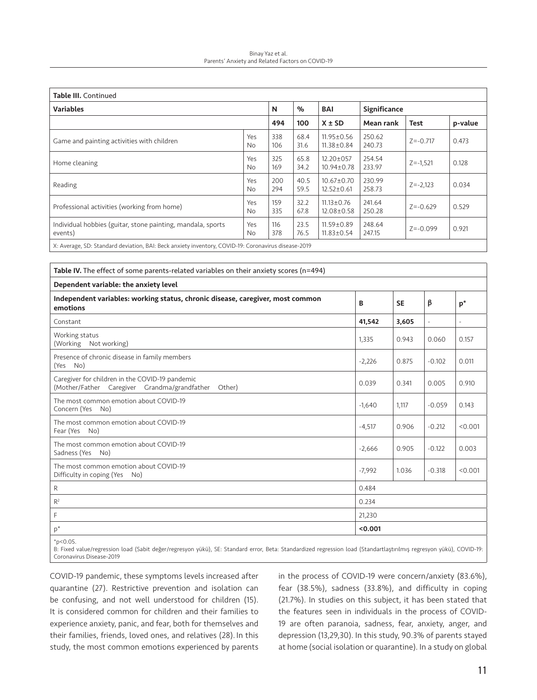#### Binay Yaz et al. Parents' Anxiety and Related Factors on COVID-19

| <b>Table III.</b> Continued                                                                      |            |            |              |                                      |                  |              |         |  |  |
|--------------------------------------------------------------------------------------------------|------------|------------|--------------|--------------------------------------|------------------|--------------|---------|--|--|
| <b>Variables</b>                                                                                 |            | N          | $\%$         | BAI                                  | Significance     |              |         |  |  |
|                                                                                                  |            | 494        | 100          | $X \pm SD$                           | Mean rank        | Test         | p-value |  |  |
| Game and painting activities with children                                                       | Yes<br>No. | 338<br>106 | 68.4<br>31.6 | $11.95 \pm 0.56$<br>$11.38 \pm 0.84$ | 250.62<br>240.73 | $Z = -0.717$ | 0.473   |  |  |
| Home cleaning                                                                                    | Yes<br>No. | 325<br>169 | 65.8<br>34.2 | $12.20 \pm 057$<br>$10.94 \pm 0.78$  | 254.54<br>233.97 | $Z = -1,521$ | 0.128   |  |  |
| Reading                                                                                          | Yes<br>No. | 200<br>294 | 40.5<br>59.5 | $10.67 \pm 0.70$<br>$12.52 \pm 0.61$ | 230.99<br>258.73 | $Z = -2,123$ | 0.034   |  |  |
| Professional activities (working from home)                                                      | Yes<br>No. | 159<br>335 | 32.2<br>67.8 | $11.13 \pm 0.76$<br>$12.08 \pm 0.58$ | 241.64<br>250.28 | $Z = -0.629$ | 0.529   |  |  |
| Individual hobbies (guitar, stone painting, mandala, sports<br>events)                           | Yes<br>No. | 116<br>378 | 23.5<br>76.5 | $11.59 \pm 0.89$<br>$11.83 \pm 0.54$ | 248.64<br>247.15 | $Z = -0.099$ | 0.921   |  |  |
| X: Average SD: Standard deviation RAI: Beck anxiety inventory COVID-19: Coronavirus disease-2019 |            |            |              |                                      |                  |              |         |  |  |

X: Average, SD: Standard deviation, BAI: Beck anxiety inventory, COVID-19: Coronavirus disease-2019

| Table IV. The effect of some parents-related variables on their anxiety scores (n=494)                    |          |           |          |                          |  |  |  |  |  |
|-----------------------------------------------------------------------------------------------------------|----------|-----------|----------|--------------------------|--|--|--|--|--|
| Dependent variable: the anxiety level                                                                     |          |           |          |                          |  |  |  |  |  |
| Independent variables: working status, chronic disease, caregiver, most common<br>emotions                | B        | <b>SE</b> | β        | $p^*$                    |  |  |  |  |  |
| Constant                                                                                                  | 41,542   | 3,605     |          | $\overline{\phantom{a}}$ |  |  |  |  |  |
| Working status<br>(Working Not working)                                                                   | 1,335    | 0.943     | 0.060    | 0.157                    |  |  |  |  |  |
| Presence of chronic disease in family members<br>(Yes No)                                                 | $-2,226$ | 0.875     | $-0.102$ | 0.011                    |  |  |  |  |  |
| Caregiver for children in the COVID-19 pandemic<br>(Mother/Father Caregiver Grandma/grandfather<br>Other) | 0.039    | 0.341     | 0.005    | 0.910                    |  |  |  |  |  |
| The most common emotion about COVID-19<br>Concern (Yes No)                                                | $-1,640$ | 1.117     | $-0.059$ | 0.143                    |  |  |  |  |  |
| The most common emotion about COVID-19<br>Fear (Yes No)                                                   | $-4,517$ | 0.906     | $-0.212$ | < 0.001                  |  |  |  |  |  |
| The most common emotion about COVID-19<br>Sadness (Yes No)                                                | $-2,666$ | 0.905     | $-0.122$ | 0.003                    |  |  |  |  |  |
| The most common emotion about COVID-19<br>Difficulty in coping (Yes No)                                   | $-7,992$ | 1.036     | $-0.318$ | < 0.001                  |  |  |  |  |  |
| R                                                                                                         | 0.484    |           |          |                          |  |  |  |  |  |
| R <sup>2</sup>                                                                                            | 0.234    |           |          |                          |  |  |  |  |  |
| F                                                                                                         | 21,230   |           |          |                          |  |  |  |  |  |
| $p^*$                                                                                                     | < 0.001  |           |          |                          |  |  |  |  |  |

 $*p < 0.05$ .

B: Fixed value/regression load (Sabit değer/regresyon yükü), SE: Standard error, Beta: Standardized regression load (Standartlaştırılmış regresyon yükü), COVID-19: Coronavirus Disease-2019

COVID-19 pandemic, these symptoms levels increased after quarantine (27). Restrictive prevention and isolation can be confusing, and not well understood for children (15). It is considered common for children and their families to experience anxiety, panic, and fear, both for themselves and their families, friends, loved ones, and relatives (28). In this study, the most common emotions experienced by parents in the process of COVID-19 were concern/anxiety (83.6%), fear (38.5%), sadness (33.8%), and difficulty in coping (21.7%). In studies on this subject, it has been stated that the features seen in individuals in the process of COVID-19 are often paranoia, sadness, fear, anxiety, anger, and depression (13,29,30). In this study, 90.3% of parents stayed at home (social isolation or quarantine). In a study on global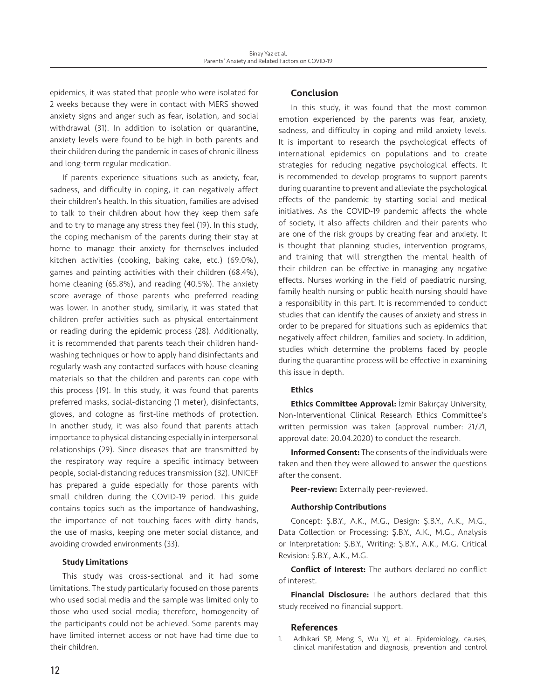epidemics, it was stated that people who were isolated for 2 weeks because they were in contact with MERS showed anxiety signs and anger such as fear, isolation, and social withdrawal (31). In addition to isolation or quarantine, anxiety levels were found to be high in both parents and their children during the pandemic in cases of chronic illness and long-term regular medication.

If parents experience situations such as anxiety, fear, sadness, and difficulty in coping, it can negatively affect their children's health. In this situation, families are advised to talk to their children about how they keep them safe and to try to manage any stress they feel (19). In this study, the coping mechanism of the parents during their stay at home to manage their anxiety for themselves included kitchen activities (cooking, baking cake, etc.) (69.0%), games and painting activities with their children (68.4%), home cleaning (65.8%), and reading (40.5%). The anxiety score average of those parents who preferred reading was lower. In another study, similarly, it was stated that children prefer activities such as physical entertainment or reading during the epidemic process (28). Additionally, it is recommended that parents teach their children handwashing techniques or how to apply hand disinfectants and regularly wash any contacted surfaces with house cleaning materials so that the children and parents can cope with this process (19). In this study, it was found that parents preferred masks, social-distancing (1 meter), disinfectants, gloves, and cologne as first-line methods of protection. In another study, it was also found that parents attach importance to physical distancing especially in interpersonal relationships (29). Since diseases that are transmitted by the respiratory way require a specific intimacy between people, social-distancing reduces transmission (32). UNICEF has prepared a guide especially for those parents with small children during the COVID-19 period. This guide contains topics such as the importance of handwashing, the importance of not touching faces with dirty hands, the use of masks, keeping one meter social distance, and avoiding crowded environments (33).

# Study Limitations

This study was cross-sectional and it had some limitations. The study particularly focused on those parents who used social media and the sample was limited only to those who used social media; therefore, homogeneity of the participants could not be achieved. Some parents may have limited internet access or not have had time due to their children.

# Conclusion

In this study, it was found that the most common emotion experienced by the parents was fear, anxiety, sadness, and difficulty in coping and mild anxiety levels. It is important to research the psychological effects of international epidemics on populations and to create strategies for reducing negative psychological effects. It is recommended to develop programs to support parents during quarantine to prevent and alleviate the psychological effects of the pandemic by starting social and medical initiatives. As the COVID-19 pandemic affects the whole of society, it also affects children and their parents who are one of the risk groups by creating fear and anxiety. It is thought that planning studies, intervention programs, and training that will strengthen the mental health of their children can be effective in managing any negative effects. Nurses working in the field of paediatric nursing, family health nursing or public health nursing should have a responsibility in this part. It is recommended to conduct studies that can identify the causes of anxiety and stress in order to be prepared for situations such as epidemics that negatively affect children, families and society. In addition, studies which determine the problems faced by people during the quarantine process will be effective in examining this issue in depth.

# **Ethics**

Ethics Committee Approval: İzmir Bakırçay University, Non-Interventional Clinical Research Ethics Committee's written permission was taken (approval number: 21/21, approval date: 20.04.2020) to conduct the research.

Informed Consent: The consents of the individuals were taken and then they were allowed to answer the questions after the consent.

Peer-review: Externally peer-reviewed.

#### Authorship Contributions

Concept: Ş.B.Y., A.K., M.G., Design: Ş.B.Y., A.K., M.G., Data Collection or Processing: Ş.B.Y., A.K., M.G., Analysis or Interpretation: Ş.B.Y., Writing: Ş.B.Y., A.K., M.G. Critical Revision: Ş.B.Y., A.K., M.G.

Conflict of Interest: The authors declared no conflict of interest.

Financial Disclosure: The authors declared that this study received no financial support.

#### References

1. Adhikari SP, Meng S, Wu YJ, et al. Epidemiology, causes, clinical manifestation and diagnosis, prevention and control